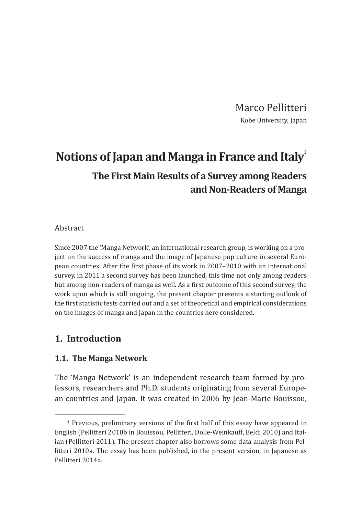Marco Pellitteri Kobe University, Japan

# **Notions of Japan and Manga in France and Italy**<sup>1</sup> **The First Main Results of a Survey among Readers and Non-Readers of Manga**

#### Abstract

Since 2007 the 'Manga Network', an international research group, is working on a project on the success of manga and the image of Japanese pop culture in several European countries. After the first phase of its work in 2007–2010 with an international survey, in 2011 a second survey has been launched, this time not only among readers but among non-readers of manga as well. As a first outcome of this second survey, the work upon which is still ongoing, the present chapter presents a starting outlook of the first statistic tests carried out and a set of theoretical and empirical considerations on the images of manga and Japan in the countries here considered.

# **1. Introduction**

### **1.1. The Manga Network**

The 'Manga Network' is an independent research team formed by professors, researchers and Ph.D. students originating from several European countries and Japan. It was created in 2006 by Jean-Marie Bouissou,

<sup>&</sup>lt;sup>1</sup> Previous, preliminary versions of the first half of this essay have appeared in English (Pellitteri 2010b in Bouissou, Pellitteri, Dolle-Weinkauff, Beldi 2010) and Italian (Pellitteri 2011). The present chapter also borrows some data analysis from Pellitteri 2010a. The essay has been published, in the present version, in Japanese as Pellitteri 2014a.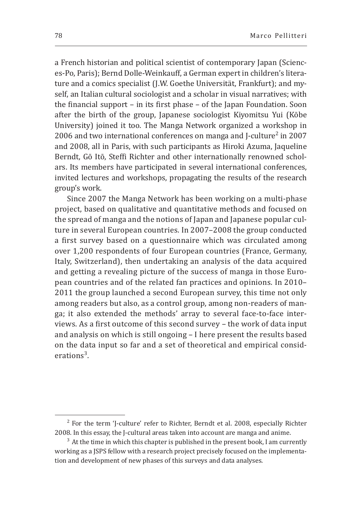a French historian and political scientist of contemporary Japan (Sciences-Po, Paris); Bernd Dolle-Weinkauff, a German expert in children's literature and a comics specialist (J.W. Goethe Universität, Frankfurt); and myself, an Italian cultural sociologist and a scholar in visual narratives; with the financial support – in its first phase – of the Japan Foundation. Soon after the birth of the group, Japanese sociologist Kiyomitsu Yui (Kōbe University) joined it too. The Manga Network organized a workshop in 2006 and two international conferences on manga and J-culture<sup>2</sup> in 2007 and 2008, all in Paris, with such participants as Hiroki Azuma, Jaqueline Berndt, Gō Itō, Steffi Richter and other internationally renowned scholars. Its members have participated in several international conferences, invited lectures and workshops, propagating the results of the research group's work.

Since 2007 the Manga Network has been working on a multi-phase project, based on qualitative and quantitative methods and focused on the spread of manga and the notions of Japan and Japanese popular culture in several European countries. In 2007–2008 the group conducted a first survey based on a questionnaire which was circulated among over 1,200 respondents of four European countries (France, Germany, Italy, Switzerland), then undertaking an analysis of the data acquired and getting a revealing picture of the success of manga in those European countries and of the related fan practices and opinions. In 2010– 2011 the group launched a second European survey, this time not only among readers but also, as a control group, among non-readers of manga; it also extended the methods' array to several face-to-face interviews. As a first outcome of this second survey – the work of data input and analysis on which is still ongoing – I here present the results based on the data input so far and a set of theoretical and empirical considerations<sup>3</sup>.

<sup>&</sup>lt;sup>2</sup> For the term 'J-culture' refer to Richter, Berndt et al. 2008, especially Richter 2008. In this essay, the J-cultural areas taken into account are manga and anime.

 $3$  At the time in which this chapter is published in the present book, I am currently working as a JSPS fellow with a research project precisely focused on the implementation and development of new phases of this surveys and data analyses.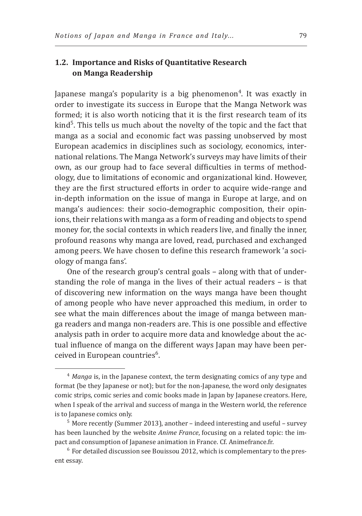# **1.2. Importance and Risks of Quantitative Research on Manga Readership**

Japanese manga's popularity is a big phenomenon<sup>4</sup>. It was exactly in order to investigate its success in Europe that the Manga Network was formed; it is also worth noticing that it is the first research team of its kind<sup>5</sup>. This tells us much about the novelty of the topic and the fact that manga as a social and economic fact was passing unobserved by most European academics in disciplines such as sociology, economics, international relations. The Manga Network's surveys may have limits of their own, as our group had to face several difficulties in terms of methodology, due to limitations of economic and organizational kind. However, they are the first structured efforts in order to acquire wide-range and in-depth information on the issue of manga in Europe at large, and on manga's audiences: their socio-demographic composition, their opinions, their relations with manga as a form of reading and objects to spend money for, the social contexts in which readers live, and finally the inner, profound reasons why manga are loved, read, purchased and exchanged among peers. We have chosen to define this research framework 'a sociology of manga fans'.

One of the research group's central goals – along with that of understanding the role of manga in the lives of their actual readers – is that of discovering new information on the ways manga have been thought of among people who have never approached this medium, in order to see what the main differences about the image of manga between manga readers and manga non-readers are. This is one possible and effective analysis path in order to acquire more data and knowledge about the actual influence of manga on the different ways Japan may have been perceived in European countries<sup>6</sup>.

<sup>4</sup>*Manga* is, in the Japanese context, the term designating comics of any type and format (be they Japanese or not); but for the non-Japanese, the word only designates comic strips, comic series and comic books made in Japan by Japanese creators. Here, when I speak of the arrival and success of manga in the Western world, the reference is to Japanese comics only.

<sup>5</sup> More recently (Summer 2013), another – indeed interesting and useful – survey has been launched by the website *Anime France*, focusing on a related topic: the impact and consumption of Japanese animation in France. Cf. Animefrance.fr.

 $6$  For detailed discussion see Bouissou 2012, which is complementary to the present essay.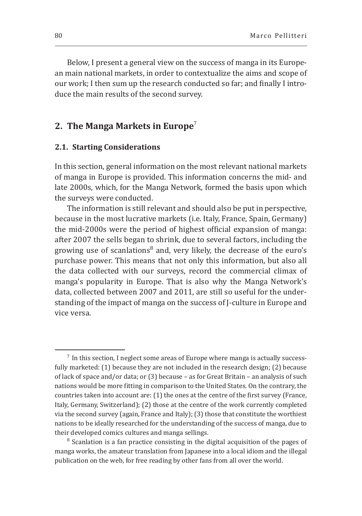Below, I present a general view on the success of manga in its European main national markets, in order to contextualize the aims and scope of our work; I then sum up the research conducted so far; and finally I introduce the main results of the second survey.

# **2. The Manga Markets in Europe**<sup>7</sup>

## **2.1. Starting Considerations**

In this section, general information on the most relevant national markets of manga in Europe is provided. This information concerns the mid- and late 2000s, which, for the Manga Network, formed the basis upon which the surveys were conducted.

The information is still relevant and should also be put in perspective, because in the most lucrative markets (i.e. Italy, France, Spain, Germany) the mid-2000s were the period of highest official expansion of manga: after 2007 the sells began to shrink, due to several factors, including the growing use of scanlations<sup>8</sup> and, very likely, the decrease of the euro's purchase power. This means that not only this information, but also all the data collected with our surveys, record the commercial climax of manga's popularity in Europe. That is also why the Manga Network's data, collected between 2007 and 2011, are still so useful for the understanding of the impact of manga on the success of J-culture in Europe and vice versa.

 $<sup>7</sup>$  In this section, I neglect some areas of Europe where manga is actually success-</sup> fully marketed: (1) because they are not included in the research design; (2) because of lack of space and/or data; or (3) because – as for Great Britain – an analysis of such nations would be more fitting in comparison to the United States. On the contrary, the countries taken into account are: (1) the ones at the centre of the first survey (France, Italy, Germany, Switzerland); (2) those at the centre of the work currently completed via the second survey (again, France and Italy); (3) those that constitute the worthiest nations to be ideally researched for the understanding of the success of manga, due to their developed comics cultures and manga sellings.

 $8$  Scanlation is a fan practice consisting in the digital acquisition of the pages of manga works, the amateur translation from Japanese into a local idiom and the illegal publication on the web, for free reading by other fans from all over the world.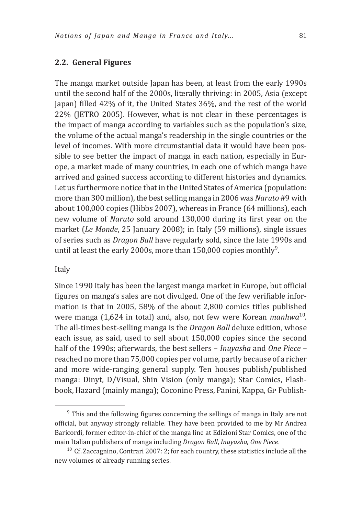## **2.2. General Figures**

The manga market outside Japan has been, at least from the early 1990s until the second half of the 2000s, literally thriving: in 2005, Asia (except Japan) filled 42% of it, the United States 36%, and the rest of the world 22% (JETRO 2005). However, what is not clear in these percentages is the impact of manga according to variables such as the population's size, the volume of the actual manga's readership in the single countries or the level of incomes. With more circumstantial data it would have been possible to see better the impact of manga in each nation, especially in Europe, a market made of many countries, in each one of which manga have arrived and gained success according to different histories and dynamics. Let us furthermore notice that in the United States of America (population: more than 300 million), the best selling manga in 2006 was *Naruto* #9 with about 100,000 copies (Hibbs 2007), whereas in France (64 millions), each new volume of *Naruto* sold around 130,000 during its first year on the market (*Le Monde*, 25 January 2008); in Italy (59 millions), single issues of series such as *Dragon Ball* have regularly sold, since the late 1990s and until at least the early 2000s, more than  $150,000$  copies monthly<sup>9</sup>.

#### Italy

Since 1990 Italy has been the largest manga market in Europe, but official figures on manga's sales are not divulged. One of the few verifiable information is that in 2005, 58% of the about 2,800 comics titles published were manga (1,624 in total) and, also, not few were Korean *manhwa*10*.* The all-times best-selling manga is the *Dragon Ball* deluxe edition, whose each issue, as said, used to sell about 150,000 copies since the second half of the 1990s; afterwards, the best sellers – *Inuyasha* and *One Piece –* reached no more than 75,000 copies per volume, partly because of a richer and more wide-ranging general supply. Ten houses publish/published manga: Dinyt, D/Visual, Shin Vision (only manga); Star Comics, Flashbook, Hazard (mainly manga); Coconino Press, Panini, Kappa, Gp Publish-

<sup>&</sup>lt;sup>9</sup> This and the following figures concerning the sellings of manga in Italy are not official, but anyway strongly reliable. They have been provided to me by Mr Andrea Baricordi, former editor-in-chief of the manga line at Edizioni Star Comics, one of the main Italian publishers of manga including *Dragon Ball*, *Inuyasha*, *One Piece*.

<sup>&</sup>lt;sup>10</sup> Cf. Zaccagnino, Contrari 2007: 2; for each country, these statistics include all the new volumes of already running series.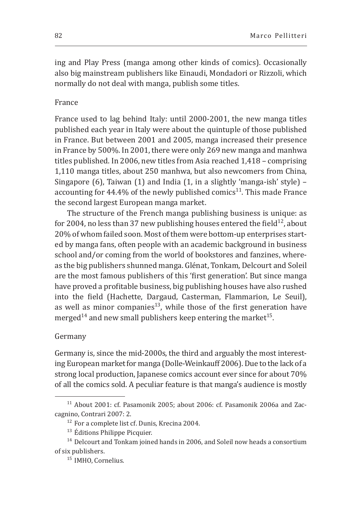ing and Play Press (manga among other kinds of comics). Occasionally also big mainstream publishers like Einaudi, Mondadori or Rizzoli, which normally do not deal with manga, publish some titles.

## France

France used to lag behind Italy: until 2000-2001, the new manga titles published each year in Italy were about the quintuple of those published in France. But between 2001 and 2005, manga increased their presence in France by 500%. In 2001, there were only 269 new manga and manhwa titles published. In 2006, new titles from Asia reached 1,418 – comprising 1,110 manga titles, about 250 manhwa, but also newcomers from China, Singapore (6), Taiwan (1) and India (1, in a slightly 'manga-ish' style) – accounting for  $44.4\%$  of the newly published comics<sup>11</sup>. This made France the second largest European manga market.

The structure of the French manga publishing business is unique: as for 2004, no less than 37 new publishing houses entered the field<sup>12</sup>, about 20% of whom failed soon. Most of them were bottom-up enterprises started by manga fans, often people with an academic background in business school and/or coming from the world of bookstores and fanzines, whereas the big publishers shunned manga. Glénat, Tonkam, Delcourt and Soleil are the most famous publishers of this 'first generation'. But since manga have proved a profitable business, big publishing houses have also rushed into the field (Hachette, Dargaud, Casterman, Flammarion, Le Seuil), as well as minor companies<sup>13</sup>, while those of the first generation have merged<sup>14</sup> and new small publishers keep entering the market<sup>15</sup>.

#### Germany

Germany is, since the mid-2000s, the third and arguably the most interesting European market for manga (Dolle-Weinkauff 2006). Due to the lack of a strong local production, Japanese comics account ever since for about 70% of all the comics sold. A peculiar feature is that manga's audience is mostly

 $11$  About 2001: cf. Pasamonik 2005; about 2006: cf. Pasamonik 2006a and Zaccagnino, Contrari 2007: 2.

<sup>&</sup>lt;sup>12</sup> For a complete list cf. Dunis, Krecina 2004.

<sup>&</sup>lt;sup>13</sup> Éditions Philippe Picquier.

 $14$  Delcourt and Tonkam joined hands in 2006, and Soleil now heads a consortium of six publishers.

<sup>&</sup>lt;sup>15</sup> IMHO, Cornelius.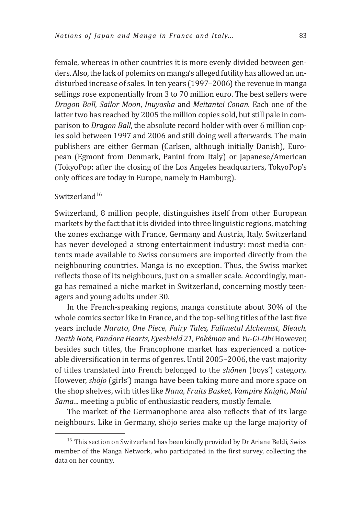female, whereas in other countries it is more evenly divided between genders. Also, the lack of polemics on manga's alleged futility has allowed an undisturbed increase of sales. In ten years (1997–2006) the revenue in manga sellings rose exponentially from 3 to 70 million euro. The best sellers were *Dragon Ball*, *Sailor Moon*, *Inuyasha* and *Meitantei Conan*. Each one of the latter two has reached by 2005 the million copies sold, but still pale in comparison to *Dragon Ball*, the absolute record holder with over 6 million copies sold between 1997 and 2006 and still doing well afterwards. The main publishers are either German (Carlsen, although initially Danish), European (Egmont from Denmark, Panini from Italy) or Japanese/American (TokyoPop; after the closing of the Los Angeles headquarters, TokyoPop's only offices are today in Europe, namely in Hamburg).

## Switzerland<sup>16</sup>

Switzerland, 8 million people, distinguishes itself from other European markets by the fact that it is divided into three linguistic regions, matching the zones exchange with France, Germany and Austria, Italy. Switzerland has never developed a strong entertainment industry: most media contents made available to Swiss consumers are imported directly from the neighbouring countries. Manga is no exception. Thus, the Swiss market reflects those of its neighbours, just on a smaller scale. Accordingly, manga has remained a niche market in Switzerland, concerning mostly teenagers and young adults under 30.

In the French-speaking regions, manga constitute about 30% of the whole comics sector like in France, and the top-selling titles of the last five years include *Naruto*, *One Piece, Fairy Tales, Fullmetal Alchemist, Bleach, Death Note, Pandora Hearts, Eyeshield 21, Pokémon* and *Yu-Gi-Oh!* However, besides such titles, the Francophone market has experienced a noticeable diversification in terms of genres. Until 2005–2006, the vast majority of titles translated into French belonged to the *shōnen* (boys') category. However, *shōjo* (girls') manga have been taking more and more space on the shop shelves, with titles like *Nana*, *Fruits Basket*, *Vampire Knight*, *Maid Sama.*.. meeting a public of enthusiastic readers, mostly female.

The market of the Germanophone area also reflects that of its large neighbours. Like in Germany, shōjo series make up the large majority of

 $16$  This section on Switzerland has been kindly provided by Dr Ariane Beldi, Swiss member of the Manga Network, who participated in the first survey, collecting the data on her country.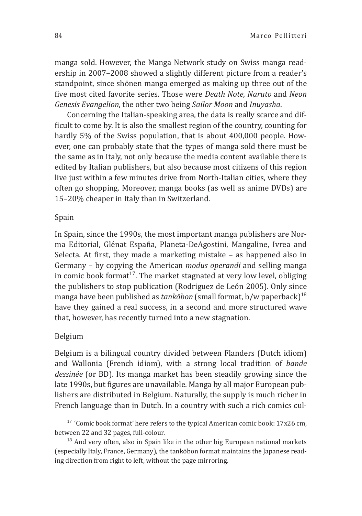manga sold. However, the Manga Network study on Swiss manga readership in 2007–2008 showed a slightly different picture from a reader's standpoint, since shōnen manga emerged as making up three out of the five most cited favorite series. Those were *Death Note*, *Naruto* and *Neon Genesis Evangelion*, the other two being *Sailor Moon* and *Inuyasha*.

Concerning the Italian-speaking area, the data is really scarce and difficult to come by. It is also the smallest region of the country, counting for hardly 5% of the Swiss population, that is about 400,000 people. However, one can probably state that the types of manga sold there must be the same as in Italy, not only because the media content available there is edited by Italian publishers, but also because most citizens of this region live just within a few minutes drive from North-Italian cities, where they often go shopping. Moreover, manga books (as well as anime DVDs) are 15–20% cheaper in Italy than in Switzerland.

#### Spain

In Spain, since the 1990s, the most important manga publishers are Norma Editorial, Glénat España, Planeta-DeAgostini, Mangaline, Ivrea and Selecta. At first, they made a marketing mistake – as happened also in Germany – by copying the American *modus operandi* and selling manga in comic book format<sup>17</sup>. The market stagnated at very low level, obliging the publishers to stop publication (Rodriguez de León 2005). Only since manga have been published as *tankōbon* (small format, b/w paperback)<sup>18</sup> have they gained a real success, in a second and more structured wave that, however, has recently turned into a new stagnation.

#### Belgium

Belgium is a bilingual country divided between Flanders (Dutch idiom) and Wallonia (French idiom), with a strong local tradition of *bande dessinée* (or BD). Its manga market has been steadily growing since the late 1990s, but figures are unavailable. Manga by all major European publishers are distributed in Belgium. Naturally, the supply is much richer in French language than in Dutch. In a country with such a rich comics cul-

<sup>&</sup>lt;sup>17</sup> 'Comic book format' here refers to the typical American comic book: 17x26 cm, between 22 and 32 pages, full-colour.

 $18$  And very often, also in Spain like in the other big European national markets (especially Italy, France, Germany), the tankōbon format maintains the Japanese reading direction from right to left, without the page mirroring.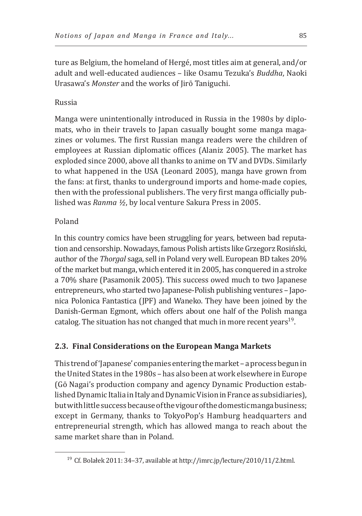ture as Belgium, the homeland of Hergé, most titles aim at general, and/or adult and well-educated audiences – like Osamu Tezuka's *Buddha*, Naoki Urasawa's *Monster* and the works of Jirō Taniguchi.

## Russia

Manga were unintentionally introduced in Russia in the 1980s by diplomats, who in their travels to Japan casually bought some manga magazines or volumes. The first Russian manga readers were the children of employees at Russian diplomatic offices (Alaniz 2005). The market has exploded since 2000, above all thanks to anime on TV and DVDs. Similarly to what happened in the USA (Leonard 2005), manga have grown from the fans: at first, thanks to underground imports and home-made copies, then with the professional publishers. The very first manga officially published was *Ranma ½*, by local venture Sakura Press in 2005.

# Poland

In this country comics have been struggling for years, between bad reputation and censorship. Nowadays, famous Polish artists like Grzegorz Rosiński, author of the *Thorgal* saga, sell in Poland very well. European BD takes 20% of the market but manga, which entered it in 2005, has conquered in a stroke a 70% share (Pasamonik 2005). This success owed much to two Japanese entrepreneurs, who started two Japanese-Polish publishing ventures – Japonica Polonica Fantastica (JPF) and Waneko. They have been joined by the Danish-German Egmont, which offers about one half of the Polish manga catalog. The situation has not changed that much in more recent years $19$ .

# **2.3. Final Considerations on the European Manga Markets**

This trend of 'Japanese' companies entering the market – a process begun in the United States in the 1980s – has also been at work elsewhere in Europe (Gō Nagai's production company and agency Dynamic Production established Dynamic Italia in Italy and Dynamic Vision in France as subsidiaries), but with little success because of the vigour of the domestic manga business; except in Germany, thanks to TokyoPop's Hamburg headquarters and entrepreneurial strength, which has allowed manga to reach about the same market share than in Poland.

<sup>19</sup> Cf. Bolałek 2011: 34–37, available at http://imrc.jp/lecture/2010/11/2.html.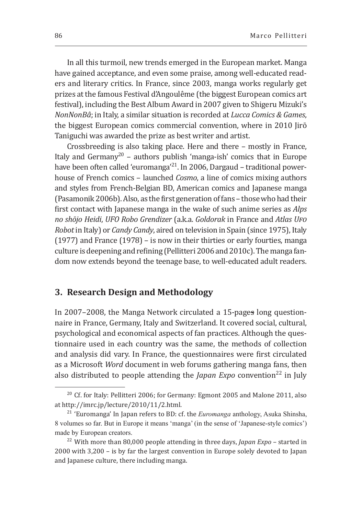In all this turmoil, new trends emerged in the European market. Manga have gained acceptance, and even some praise, among well-educated readers and literary critics. In France, since 2003, manga works regularly get prizes at the famous Festival d'Angoulême (the biggest European comics art festival), including the Best Album Award in 2007 given to Shigeru Mizuki's *NonNonBâ*; in Italy, a similar situation is recorded at *Lucca Comics & Games*, the biggest European comics commercial convention, where in 2010 Jirō Taniguchi was awarded the prize as best writer and artist.

Crossbreeding is also taking place. Here and there – mostly in France, Italy and Germany<sup>20</sup> – authors publish 'manga-ish' comics that in Europe have been often called 'euromanga'<sup>21</sup>. In 2006, Dargaud – traditional powerhouse of French comics – launched *Cosmo*, a line of comics mixing authors and styles from French-Belgian BD, American comics and Japanese manga (Pasamonik 2006b). Also, as the first generation of fans – those who had their first contact with Japanese manga in the wake of such anime series as *Alps no shōjo Heidi*, *UFO Robo Grendizer* (a.k.a. *Goldorak* in France and *Atlas Ufo Robot* in Italy) or *Candy Candy*, aired on television in Spain (since 1975), Italy (1977) and France (1978) – is now in their thirties or early fourties, manga culture is deepening and refining (Pellitteri 2006 and 2010c). The manga fandom now extends beyond the teenage base, to well-educated adult readers.

# **3. Research Design and Methodology**

In 2007–2008, the Manga Network circulated a 15-pages long questionnaire in France, Germany, Italy and Switzerland. It covered social, cultural, psychological and economical aspects of fan practices. Although the questionnaire used in each country was the same, the methods of collection and analysis did vary. In France, the questionnaires were first circulated as a Microsoft *Word* document in web forums gathering manga fans, then also distributed to people attending the *Japan Expo* convention<sup>22</sup> in July

 $20$  Cf. for Italy: Pellitteri 2006; for Germany: Egmont 2005 and Malone 2011, also at http://imrc.jp/lecture/2010/11/2.html.

<sup>21</sup>'Euromanga' In Japan refers to BD: cf. the *Euromanga* anthology, Asuka Shinsha, 8 volumes so far. But in Europe it means 'manga' (in the sense of 'Japanese-style comics') made by European creators.

<sup>&</sup>lt;sup>22</sup> With more than 80,000 people attending in three days, *Japan Expo* – started in 2000 with 3,200 – is by far the largest convention in Europe solely devoted to Japan and Japanese culture, there including manga.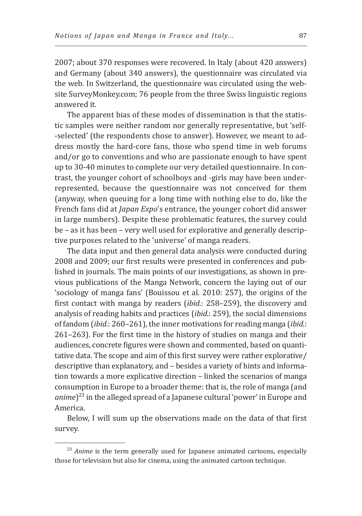2007; about 370 responses were recovered. In Italy (about 420 answers) and Germany (about 340 answers), the questionnaire was circulated via the web. In Switzerland, the questionnaire was circulated using the website SurveyMonkey.com; 76 people from the three Swiss linguistic regions answered it.

The apparent bias of these modes of dissemination is that the statistic samples were neither random nor generally representative, but 'self- -selected' (the respondents chose to answer). However, we meant to address mostly the hard-core fans, those who spend time in web forums and/or go to conventions and who are passionate enough to have spent up to 30-40 minutes to complete our very detailed questionnaire. In contrast, the younger cohort of schoolboys and -girls may have been underrepresented, because the questionnaire was not conceived for them (anyway, when queuing for a long time with nothing else to do, like the French fans did at *Japan Expo*'s entrance, the younger cohort did answer in large numbers). Despite these problematic features, the survey could be – as it has been – very well used for explorative and generally descriptive purposes related to the 'universe' of manga readers.

The data input and then general data analysis were conducted during 2008 and 2009; our first results were presented in conferences and published in journals. The main points of our investigations, as shown in previous publications of the Manga Network, concern the laying out of our 'sociology of manga fans' (Bouissou et al. 2010: 257), the origins of the first contact with manga by readers (*ibid.*: 258–259), the discovery and analysis of reading habits and practices (*ibid.*: 259), the social dimensions of fandom (*ibid.*: 260–261), the inner motivations for reading manga (*ibid.*: 261–263). For the first time in the history of studies on manga and their audiences, concrete figures were shown and commented, based on quantitative data. The scope and aim of this first survey were rather explorative/ descriptive than explanatory, and – besides a variety of hints and information towards a more explicative direction – linked the scenarios of manga consumption in Europe to a broader theme: that is, the role of manga (and *anime*) 23 in the alleged spread of a Japanese cultural 'power' in Europe and America.

Below, I will sum up the observations made on the data of that first survey.

<sup>&</sup>lt;sup>23</sup> Anime is the term generally used for Japanese animated cartoons, especially those for television but also for cinema, using the animated cartoon technique.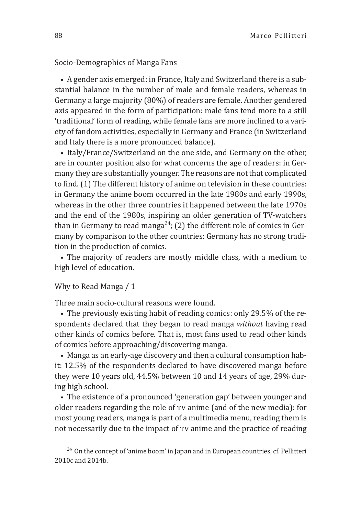Socio-Demographics of Manga Fans

• A gender axis emerged: in France, Italy and Switzerland there is a substantial balance in the number of male and female readers, whereas in Germany a large majority (80%) of readers are female. Another gendered axis appeared in the form of participation: male fans tend more to a still 'traditional' form of reading, while female fans are more inclined to a variety of fandom activities, especially in Germany and France (in Switzerland and Italy there is a more pronounced balance).

• Italy/France/Switzerland on the one side, and Germany on the other, are in counter position also for what concerns the age of readers: in Germany they are substantially younger. The reasons are not that complicated to find. (1) The different history of anime on television in these countries: in Germany the anime boom occurred in the late 1980s and early 1990s, whereas in the other three countries it happened between the late 1970s and the end of the 1980s, inspiring an older generation of TV-watchers than in Germany to read manga<sup>24</sup>; (2) the different role of comics in Germany by comparison to the other countries: Germany has no strong tradition in the production of comics.

• The majority of readers are mostly middle class, with a medium to high level of education.

#### Why to Read Manga / 1

Three main socio-cultural reasons were found.

• The previously existing habit of reading comics: only 29.5% of the respondents declared that they began to read manga *without* having read other kinds of comics before. That is, most fans used to read other kinds of comics before approaching/discovering manga.

• Manga as an early-age discovery and then a cultural consumption habit: 12.5% of the respondents declared to have discovered manga before they were 10 years old, 44.5% between 10 and 14 years of age, 29% during high school.

• The existence of a pronounced 'generation gap' between younger and older readers regarding the role of tv anime (and of the new media): for most young readers, manga is part of a multimedia menu, reading them is not necessarily due to the impact of  $Tv$  anime and the practice of reading

 $24$  On the concept of 'anime boom' in Japan and in European countries, cf. Pellitteri 2010c and 2014b.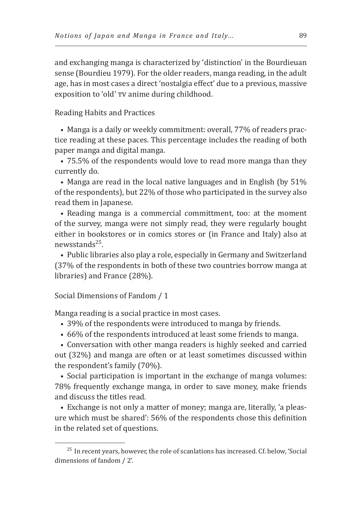and exchanging manga is characterized by 'distinction' in the Bourdieuan sense (Bourdieu 1979). For the older readers, manga reading, in the adult age, has in most cases a direct 'nostalgia effect' due to a previous, massive exposition to 'old'  $Tv$  anime during childhood.

Reading Habits and Practices

• Manga is a daily or weekly commitment: overall, 77% of readers practice reading at these paces. This percentage includes the reading of both paper manga and digital manga.

• 75.5% of the respondents would love to read more manga than they currently do.

• Manga are read in the local native languages and in English (by 51% of the respondents), but 22% of those who participated in the survey also read them in Japanese.

• Reading manga is a commercial committment, too: at the moment of the survey, manga were not simply read, they were regularly bought either in bookstores or in comics stores or (in France and Italy) also at newsstands25.

• Public libraries also play a role, especially in Germany and Switzerland (37% of the respondents in both of these two countries borrow manga at libraries) and France (28%).

Social Dimensions of Fandom / 1

Manga reading is a social practice in most cases.

- 39% of the respondents were introduced to manga by friends.
- 66% of the respondents introduced at least some friends to manga.

• Conversation with other manga readers is highly seeked and carried out (32%) and manga are often or at least sometimes discussed within the respondent's family (70%).

• Social participation is important in the exchange of manga volumes: 78% frequently exchange manga, in order to save money, make friends and discuss the titles read.

• Exchange is not only a matter of money; manga are, literally, 'a pleasure which must be shared': 56% of the respondents chose this definition in the related set of questions.

 $25$  In recent years, however, the role of scanlations has increased. Cf. below, 'Social dimensions of fandom / 2'.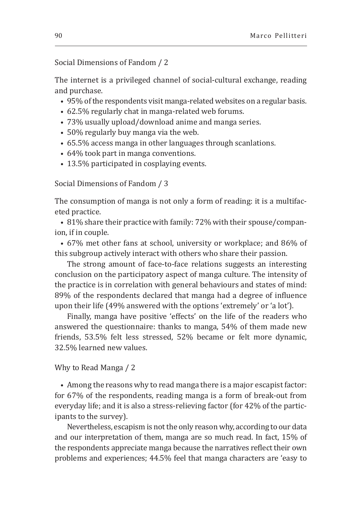## Social Dimensions of Fandom / 2

The internet is a privileged channel of social-cultural exchange, reading and purchase.

- 95% of the respondents visit manga-related websites on a regular basis.
- 62.5% regularly chat in manga-related web forums.
- 73% usually upload/download anime and manga series.
- 50% regularly buy manga via the web.
- 65.5% access manga in other languages through scanlations.
- 64% took part in manga conventions.
- 13.5% participated in cosplaying events.

Social Dimensions of Fandom / 3

The consumption of manga is not only a form of reading: it is a multifaceted practice.

• 81% share their practice with family: 72% with their spouse/companion, if in couple.

• 67% met other fans at school, university or workplace; and 86% of this subgroup actively interact with others who share their passion.

The strong amount of face-to-face relations suggests an interesting conclusion on the participatory aspect of manga culture. The intensity of the practice is in correlation with general behaviours and states of mind: 89% of the respondents declared that manga had a degree of influence upon their life (49% answered with the options 'extremely' or 'a lot').

Finally, manga have positive 'effects' on the life of the readers who answered the questionnaire: thanks to manga, 54% of them made new friends, 53.5% felt less stressed, 52% became or felt more dynamic, 32.5% learned new values.

Why to Read Manga / 2

• Among the reasons why to read manga there is a major escapist factor: for 67% of the respondents, reading manga is a form of break-out from everyday life; and it is also a stress-relieving factor (for 42% of the participants to the survey).

Nevertheless, escapism is not the only reason why, according to our data and our interpretation of them, manga are so much read. In fact, 15% of the respondents appreciate manga because the narratives reflect their own problems and experiences; 44.5% feel that manga characters are 'easy to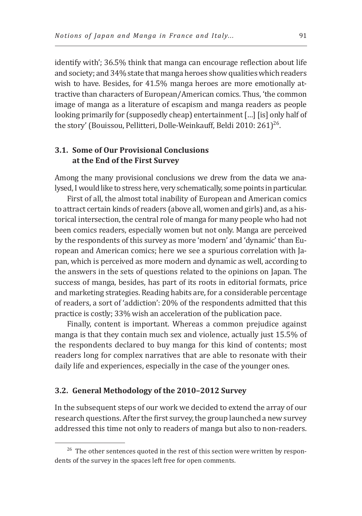identify with'; 36.5% think that manga can encourage reflection about life and society; and 34% state that manga heroes show qualities which readers wish to have. Besides, for 41.5% manga heroes are more emotionally attractive than characters of European/American comics. Thus, 'the common image of manga as a literature of escapism and manga readers as people looking primarily for (supposedly cheap) entertainment […] [is] only half of the story' (Bouissou, Pellitteri, Dolle-Weinkauff, Beldi 2010: 261)<sup>26</sup>.

# **3.1. Some of Our Provisional Conclusions at the End of the First Survey**

Among the many provisional conclusions we drew from the data we analysed, I would like to stress here, very schematically, some points in particular.

First of all, the almost total inability of European and American comics to attract certain kinds of readers (above all, women and girls) and, as a historical intersection, the central role of manga for many people who had not been comics readers, especially women but not only. Manga are perceived by the respondents of this survey as more 'modern' and 'dynamic' than European and American comics; here we see a spurious correlation with Japan, which is perceived as more modern and dynamic as well, according to the answers in the sets of questions related to the opinions on Japan. The success of manga, besides, has part of its roots in editorial formats, price and marketing strategies. Reading habits are, for a considerable percentage of readers, a sort of 'addiction': 20% of the respondents admitted that this practice is costly; 33% wish an acceleration of the publication pace.

Finally, content is important. Whereas a common prejudice against manga is that they contain much sex and violence, actually just 15.5% of the respondents declared to buy manga for this kind of contents; most readers long for complex narratives that are able to resonate with their daily life and experiences, especially in the case of the younger ones.

#### **3.2. General Methodology of the 2010–2012 Survey**

In the subsequent steps of our work we decided to extend the array of our research questions. After the first survey, the group launched a new survey addressed this time not only to readers of manga but also to non-readers.

 $26$  The other sentences quoted in the rest of this section were written by respondents of the survey in the spaces left free for open comments.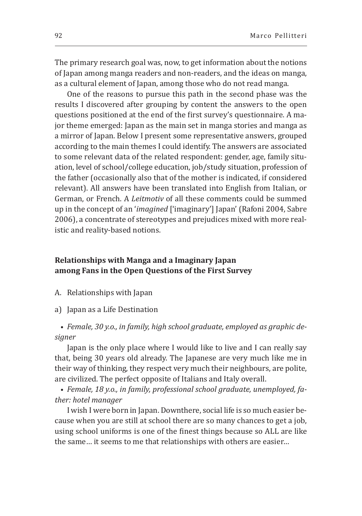The primary research goal was, now, to get information about the notions of Japan among manga readers and non-readers, and the ideas on manga, as a cultural element of Japan, among those who do not read manga.

One of the reasons to pursue this path in the second phase was the results I discovered after grouping by content the answers to the open questions positioned at the end of the first survey's questionnaire. A major theme emerged: Japan as the main set in manga stories and manga as a mirror of Japan. Below I present some representative answers, grouped according to the main themes I could identify. The answers are associated to some relevant data of the related respondent: gender, age, family situation, level of school/college education, job/study situation, profession of the father (occasionally also that of the mother is indicated, if considered relevant). All answers have been translated into English from Italian, or German, or French. A *Leitmotiv* of all these comments could be summed up in the concept of an '*imagined* ['imaginary'] Japan' (Rafoni 2004, Sabre 2006), a concentrate of stereotypes and prejudices mixed with more realistic and reality-based notions.

# **Relationships with Manga and a Imaginary Japan among Fans in the Open Questions of the First Survey**

- A. Relationships with Japan
- a) Japan as a Life Destination

• *Female, 30 y.o., in family, high school graduate, employed as graphic designer*

Japan is the only place where I would like to live and I can really say that, being 30 years old already. The Japanese are very much like me in their way of thinking, they respect very much their neighbours, are polite, are civilized. The perfect opposite of Italians and Italy overall.

• *Female, 18 y.o., in family, professional school graduate, unemployed, father: hotel manager*

I wish I were born in Japan. Downthere, social life is so much easier because when you are still at school there are so many chances to get a job, using school uniforms is one of the finest things because so ALL are like the same… it seems to me that relationships with others are easier…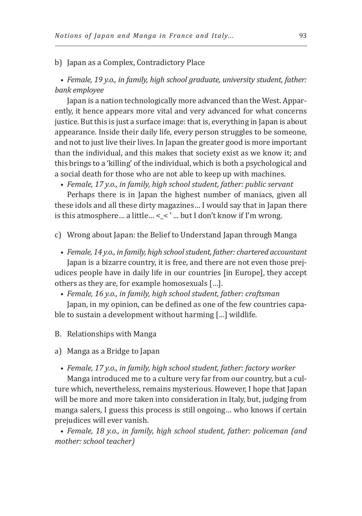#### b) Japan as a Complex, Contradictory Place

• *Female, 19 y.o., in family, high school graduate, university student, father: bank employee*

Japan is a nation technologically more advanced than the West. Apparently, it hence appears more vital and very advanced for what concerns justice. But this is just a surface image: that is, everything in Japan is about appearance. Inside their daily life, every person struggles to be someone, and not to just live their lives. In Japan the greater good is more important than the individual, and this makes that society exist as we know it; and this brings to a 'killing' of the individual, which is both a psychological and a social death for those who are not able to keep up with machines.

• *Female, 17 y.o., in family, high school student, father: public servant*

Perhaps there is in Japan the highest number of maniacs, given all these idols and all these dirty magazines… I would say that in Japan there is this atmosphere… a little… <\_< ' ... but I don't know if I'm wrong.

- c) Wrong about Japan: the Belief to Understand Japan through Manga
	- *Female, 14 y.o., in family, high school student, father: chartered accountant* Japan is a bizarre country, it is free, and there are not even those prej-

udices people have in daily life in our countries [in Europe], they accept others as they are, for example homosexuals […].

• *Female, 16 y.o., in family, high school student, father: craftsman* Japan, in my opinion, can be defined as one of the few countries capa-

ble to sustain a development without harming […] wildlife.

B. Relationships with Manga

- a) Manga as a Bridge to Japan
	- *Female, 17 y.o., in family, high school student, father: factory worker*

Manga introduced me to a culture very far from our country, but a culture which, nevertheless, remains mysterious. However, I hope that Japan will be more and more taken into consideration in Italy, but, judging from manga salers, I guess this process is still ongoing… who knows if certain prejudices will ever vanish.

• *Female, 18 y.o., in family, high school student, father: policeman (and mother: school teacher)*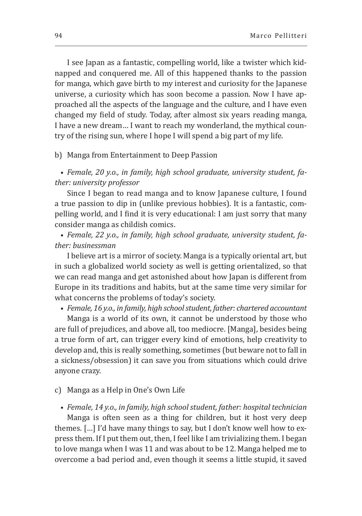I see Japan as a fantastic, compelling world, like a twister which kidnapped and conquered me. All of this happened thanks to the passion for manga, which gave birth to my interest and curiosity for the Japanese universe, a curiosity which has soon become a passion. Now I have approached all the aspects of the language and the culture, and I have even changed my field of study. Today, after almost six years reading manga, I have a new dream… I want to reach my wonderland, the mythical country of the rising sun, where I hope I will spend a big part of my life.

#### b) Manga from Entertainment to Deep Passion

• *Female, 20 y.o., in family, high school graduate, university student, father: university professor*

Since I began to read manga and to know Japanese culture, I found a true passion to dip in (unlike previous hobbies). It is a fantastic, compelling world, and I find it is very educational: I am just sorry that many consider manga as childish comics.

• *Female, 22 y.o., in family, high school graduate, university student, father: businessman*

I believe art is a mirror of society. Manga is a typically oriental art, but in such a globalized world society as well is getting orientalized, so that we can read manga and get astonished about how Japan is different from Europe in its traditions and habits, but at the same time very similar for what concerns the problems of today's society.

• *Female, 16 y.o., in family, high school student, father: chartered accountant*

Manga is a world of its own, it cannot be understood by those who are full of prejudices, and above all, too mediocre. [Manga], besides being a true form of art, can trigger every kind of emotions, help creativity to develop and, this is really something, sometimes (but beware not to fall in a sickness/obsession) it can save you from situations which could drive anyone crazy.

#### c) Manga as a Help in One's Own Life

• *Female, 14 y.o., in family, high school student, father: hospital technician* Manga is often seen as a thing for children, but it host very deep themes. […] I'd have many things to say, but I don't know well how to express them. If I put them out, then, I feel like I am trivializing them. I began to love manga when I was 11 and was about to be 12. Manga helped me to overcome a bad period and, even though it seems a little stupid, it saved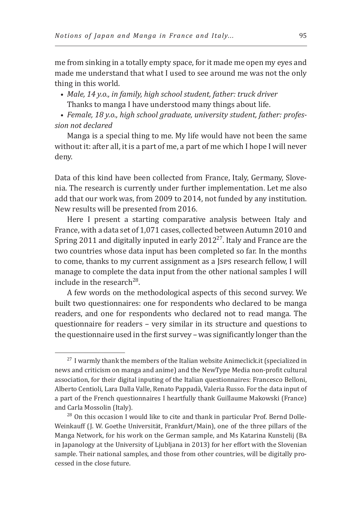me from sinking in a totally empty space, for it made me open my eyes and made me understand that what I used to see around me was not the only thing in this world.

• *Male, 14 y.o., in family, high school student, father: truck driver*

Thanks to manga I have understood many things about life.

• *Female, 18 y.o., high school graduate, university student, father: profession not declared*

Manga is a special thing to me. My life would have not been the same without it: after all, it is a part of me, a part of me which I hope I will never deny.

Data of this kind have been collected from France, Italy, Germany, Slovenia. The research is currently under further implementation. Let me also add that our work was, from 2009 to 2014, not funded by any institution. New results will be presented from 2016.

Here I present a starting comparative analysis between Italy and France, with a data set of 1,071 cases, collected between Autumn 2010 and Spring 2011 and digitally inputed in early 201227. Italy and France are the two countries whose data input has been completed so far. In the months to come, thanks to my current assignment as a Jsps research fellow, I will manage to complete the data input from the other national samples I will include in the research<sup>28</sup>.

A few words on the methodological aspects of this second survey. We built two questionnaires: one for respondents who declared to be manga readers, and one for respondents who declared not to read manga. The questionnaire for readers – very similar in its structure and questions to the questionnaire used in the first survey – was significantly longer than the

 $27$  I warmly thank the members of the Italian website Animeclick.it (specialized in news and criticism on manga and anime) and the NewType Media non-profit cultural association, for their digital inputing of the Italian questionnaires: Francesco Belloni, Alberto Centioli, Lara Dalla Valle, Renato Pappadà, Valeria Russo. For the data input of a part of the French questionnaires I heartfully thank Guillaume Makowski (France) and Carla Mossolin (Italy).

 $28$  On this occasion I would like to cite and thank in particular Prof. Bernd Dolle-Weinkauff (J. W. Goethe Universität, Frankfurt/Main), one of the three pillars of the Manga Network, for his work on the German sample, and Ms Katarina Kunstelij (Ba in Japanology at the University of Ljubljana in 2013) for her effort with the Slovenian sample. Their national samples, and those from other countries, will be digitally processed in the close future.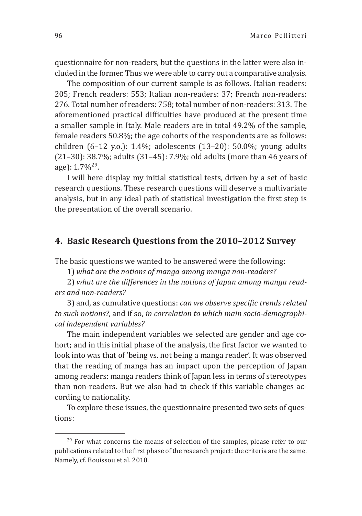The composition of our current sample is as follows. Italian readers: 205; French readers: 553; Italian non-readers: 37; French non-readers: 276. Total number of readers: 758; total number of non-readers: 313. The aforementioned practical difficulties have produced at the present time a smaller sample in Italy. Male readers are in total 49.2% of the sample, female readers 50.8%; the age cohorts of the respondents are as follows: children (6–12 y.o.): 1.4%; adolescents (13–20): 50.0%; young adults (21–30): 38.7%; adults (31–45): 7.9%; old adults (more than 46 years of age):  $1.7\%^{29}$ .

I will here display my initial statistical tests, driven by a set of basic research questions. These research questions will deserve a multivariate analysis, but in any ideal path of statistical investigation the first step is the presentation of the overall scenario.

## **4. Basic Research Questions from the 2010–2012 Survey**

The basic questions we wanted to be answered were the following:

1) *what are the notions of manga among manga non-readers?*

2) *what are the differences in the notions of Japan among manga readers and non-readers?*

3) and, as cumulative questions: *can we observe specific trends related to such notions?*, and if so, *in correlation to which main socio-demographical independent variables?*

The main independent variables we selected are gender and age cohort; and in this initial phase of the analysis, the first factor we wanted to look into was that of 'being vs. not being a manga reader'. It was observed that the reading of manga has an impact upon the perception of Japan among readers: manga readers think of Japan less in terms of stereotypes than non-readers. But we also had to check if this variable changes according to nationality.

To explore these issues, the questionnaire presented two sets of questions:

 $29$  For what concerns the means of selection of the samples, please refer to our publications related to the first phase of the research project: the criteria are the same. Namely, cf. Bouissou et al. 2010.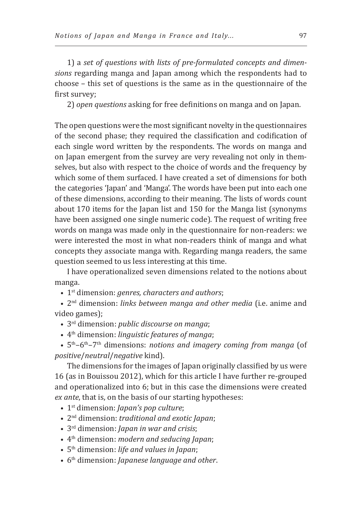1) a *set of questions with lists of pre-formulated concepts and dimensions* regarding manga and Japan among which the respondents had to choose – this set of questions is the same as in the questionnaire of the first survey;

2) *open questions* asking for free definitions on manga and on Japan.

The open questions were the most significant novelty in the questionnaires of the second phase; they required the classification and codification of each single word written by the respondents. The words on manga and on Japan emergent from the survey are very revealing not only in themselves, but also with respect to the choice of words and the frequency by which some of them surfaced. I have created a set of dimensions for both the categories 'Japan' and 'Manga'. The words have been put into each one of these dimensions, according to their meaning. The lists of words count about 170 items for the Japan list and 150 for the Manga list (synonyms have been assigned one single numeric code). The request of writing free words on manga was made only in the questionnaire for non-readers: we were interested the most in what non-readers think of manga and what concepts they associate manga with. Regarding manga readers, the same question seemed to us less interesting at this time.

I have operationalized seven dimensions related to the notions about manga.

• 1st dimension: *genres, characters and authors*;

• 2nd dimension: *links between manga and other media* (i.e. anime and video games);

• 3rd dimension: *public discourse on manga*;

• 4th dimension: *linguistic features of manga*;

• 5th–6th–7th dimensions: *notions and imagery coming from manga* (of *positive*/*neutral*/*negative* kind).

The dimensions for the images of Japan originally classified by us were 16 (as in Bouissou 2012), which for this article I have further re-grouped and operationalized into 6; but in this case the dimensions were created *ex ante*, that is, on the basis of our starting hypotheses:

- 1st dimension: *Japan's pop culture*;
- 2nd dimension: *traditional and exotic Japan*;
- 3rd dimension: *Japan in war and crisis*;
- 4th dimension: *modern and seducing Japan*;
- 5th dimension: *life and values in Japan*;
- 6th dimension: *Japanese language and other*.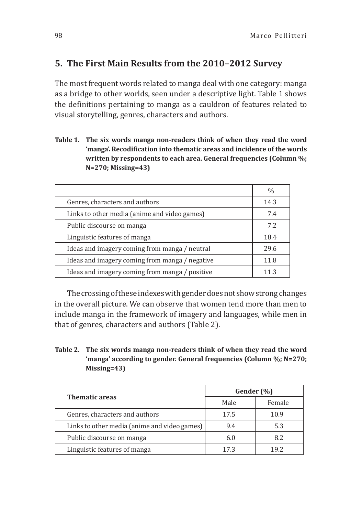# **5. The First Main Results from the 2010–2012 Survey**

The most frequent words related to manga deal with one category: manga as a bridge to other worlds, seen under a descriptive light. Table 1 shows the definitions pertaining to manga as a cauldron of features related to visual storytelling, genres, characters and authors.

**Table 1. The six words manga non-readers think of when they read the word 'manga'. Recodification into thematic areas and incidence of the words written by respondents to each area. General frequencies (Column %; N=270; Missing=43)**

|                                                | $\%$ |
|------------------------------------------------|------|
| Genres, characters and authors                 | 14.3 |
| Links to other media (anime and video games)   | 7.4  |
| Public discourse on manga                      | 7.2  |
| Linguistic features of manga                   | 18.4 |
| Ideas and imagery coming from manga / neutral  | 29.6 |
| Ideas and imagery coming from manga / negative | 11.8 |
| Ideas and imagery coming from manga / positive | 11.3 |

The crossing of these indexes with gender does not show strong changes in the overall picture. We can observe that women tend more than men to include manga in the framework of imagery and languages, while men in that of genres, characters and authors (Table 2).

**Table 2. The six words manga non-readers think of when they read the word 'manga' according to gender. General frequencies (Column %; N=270; Missing=43)**

| <b>Thematic areas</b>                        | Gender (%) |        |  |  |
|----------------------------------------------|------------|--------|--|--|
|                                              | Male       | Female |  |  |
| Genres, characters and authors               | 17.5       | 10.9   |  |  |
| Links to other media (anime and video games) | 9.4        | 5.3    |  |  |
| Public discourse on manga                    | 6.0        | 8.2    |  |  |
| Linguistic features of manga                 | 17.3       | 192    |  |  |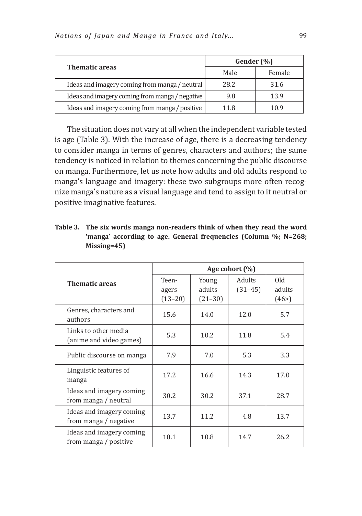| <b>Thematic areas</b>                          | Gender (%) |        |  |  |
|------------------------------------------------|------------|--------|--|--|
|                                                | Male       | Female |  |  |
| Ideas and imagery coming from manga / neutral  | 28.2       | 31.6   |  |  |
| Ideas and imagery coming from manga / negative | 9.8        | 13.9   |  |  |
| Ideas and imagery coming from manga / positive | 11.8       | 109    |  |  |

The situation does not vary at all when the independent variable tested is age (Table 3). With the increase of age, there is a decreasing tendency to consider manga in terms of genres, characters and authors; the same tendency is noticed in relation to themes concerning the public discourse on manga. Furthermore, let us note how adults and old adults respond to manga's language and imagery: these two subgroups more often recognize manga's nature as a visual language and tend to assign to it neutral or positive imaginative features.

|                                                   | Age cohort $(\%)$             |                              |                            |                       |
|---------------------------------------------------|-------------------------------|------------------------------|----------------------------|-----------------------|
| <b>Thematic areas</b>                             | Teen-<br>agers<br>$(13 - 20)$ | Young<br>adults<br>$(21-30)$ | <b>Adults</b><br>$(31-45)$ | 0ld<br>adults<br>(46) |
| Genres, characters and<br>authors                 | 15.6                          | 14.0                         | 12.0                       | 5.7                   |
| Links to other media<br>(anime and video games)   | 5.3                           | 10.2                         | 11.8                       | 5.4                   |
| Public discourse on manga                         | 7.9                           | 7.0                          | 5.3                        | 3.3                   |
| Linguistic features of<br>manga                   | 17.2                          | 16.6                         | 14.3                       | 17.0                  |
| Ideas and imagery coming<br>from manga / neutral  | 30.2                          | 30.2                         | 37.1                       | 28.7                  |
| Ideas and imagery coming<br>from manga / negative | 13.7                          | 11.2                         | 4.8                        | 13.7                  |
| Ideas and imagery coming<br>from manga / positive | 10.1                          | 10.8                         | 14.7                       | 26.2                  |

**Table 3. The six words manga non-readers think of when they read the word 'manga' according to age. General frequencies (Column %; N=268; Missing=45)**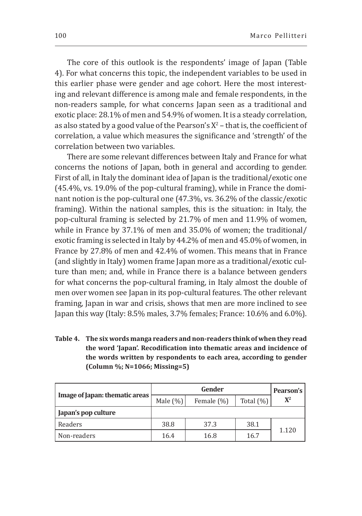The core of this outlook is the respondents' image of Japan (Table 4). For what concerns this topic, the independent variables to be used in this earlier phase were gender and age cohort. Here the most interesting and relevant difference is among male and female respondents, in the non-readers sample, for what concerns Japan seen as a traditional and exotic place: 28.1% of men and 54.9% of women. It is a steady correlation, as also stated by a good value of the Pearson's  $X^2$  – that is, the coefficient of correlation, a value which measures the significance and 'strength' of the correlation between two variables.

There are some relevant differences between Italy and France for what concerns the notions of Japan, both in general and according to gender. First of all, in Italy the dominant idea of Japan is the traditional/exotic one (45.4%, vs. 19.0% of the pop-cultural framing), while in France the dominant notion is the pop-cultural one (47.3%, vs. 36.2% of the classic/exotic framing). Within the national samples, this is the situation: in Italy, the pop-cultural framing is selected by 21.7% of men and 11.9% of women, while in France by 37.1% of men and 35.0% of women; the traditional/ exotic framing is selected in Italy by 44.2% of men and 45.0% of women, in France by 27.8% of men and 42.4% of women. This means that in France (and slightly in Italy) women frame Japan more as a traditional/exotic culture than men; and, while in France there is a balance between genders for what concerns the pop-cultural framing, in Italy almost the double of men over women see Japan in its pop-cultural features. The other relevant framing, Japan in war and crisis, shows that men are more inclined to see Japan this way (Italy: 8.5% males, 3.7% females; France: 10.6% and 6.0%).

**Table 4. The six words manga readers and non-readers think of when they read the word 'Japan'. Recodification into thematic areas and incidence of the words written by respondents to each area, according to gender (Column %; N=1066; Missing=5)**

|                                |             | Pearson's      |              |                |  |
|--------------------------------|-------------|----------------|--------------|----------------|--|
| Image of Japan: thematic areas | Male $(\%)$ | Female $(\% )$ | Total $(\%)$ | $\mathbf{X}^2$ |  |
| Japan's pop culture            |             |                |              |                |  |
| Readers                        | 38.8        | 37.3           | 38.1         |                |  |
| l Non-readers                  | 16.4        | 16.8           | 16.7         | 1.120          |  |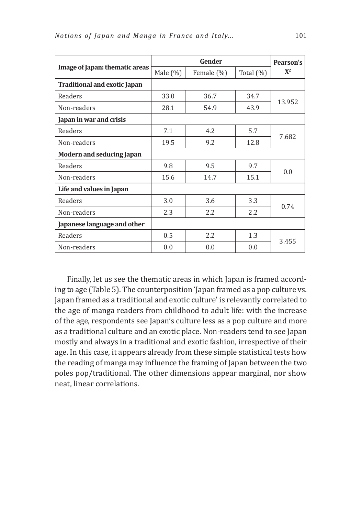|                                     |             | Pearson's  |              |                |
|-------------------------------------|-------------|------------|--------------|----------------|
| Image of Japan: thematic areas      | Male $(\%)$ | Female (%) | Total $(\%)$ | $\mathbf{X}^2$ |
| <b>Traditional and exotic Japan</b> |             |            |              |                |
| Readers                             | 33.0        | 36.7       | 34.7         | 13.952         |
| Non-readers                         | 28.1        | 54.9       | 43.9         |                |
| Japan in war and crisis             |             |            |              |                |
| Readers                             | 7.1         | 4.2        | 5.7          | 7.682          |
| Non-readers                         | 19.5        | 9.2        | 12.8         |                |
| <b>Modern and seducing Japan</b>    |             |            |              |                |
| Readers                             | 9.8         | 9.5        | 9.7          |                |
| Non-readers                         | 15.6        | 14.7       | 15.1         | 0.0            |
| Life and values in Japan            |             |            |              |                |
| Readers                             | 3.0         | 3.6        | 3.3          | 0.74           |
| Non-readers                         | 2.3         | 2.2        | 2.2          |                |
| Japanese language and other         |             |            |              |                |
| Readers                             | 0.5         | 2.2        | 1.3          |                |
| Non-readers                         | 0.0         | 0.0        | 0.0          | 3.455          |

Finally, let us see the thematic areas in which Japan is framed according to age (Table 5). The counterposition 'Japan framed as a pop culture vs. Japan framed as a traditional and exotic culture' is relevantly correlated to the age of manga readers from childhood to adult life: with the increase of the age, respondents see Japan's culture less as a pop culture and more as a traditional culture and an exotic place. Non-readers tend to see Japan mostly and always in a traditional and exotic fashion, irrespective of their age. In this case, it appears already from these simple statistical tests how the reading of manga may influence the framing of Japan between the two poles pop/traditional. The other dimensions appear marginal, nor show neat, linear correlations.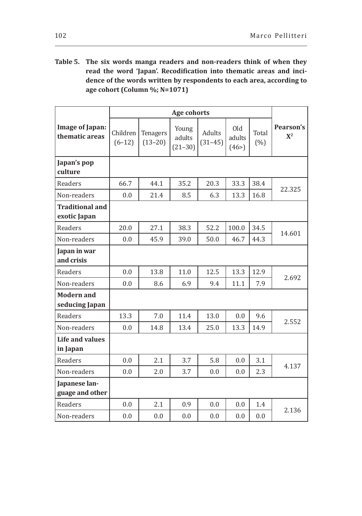**Table 5. The six words manga readers and non-readers think of when they read the word 'Japan'. Recodification into thematic areas and incidence of the words written by respondents to each area, according to age cohort (Column %; N=1071)**

|                                        | Age cohorts          |                         |                                |                              |                       |              |                             |
|----------------------------------------|----------------------|-------------------------|--------------------------------|------------------------------|-----------------------|--------------|-----------------------------|
| Image of Japan:<br>thematic areas      | Children<br>$(6-12)$ | Tenagers<br>$(13 - 20)$ | Young<br>adults<br>$(21 - 30)$ | <b>Adults</b><br>$(31 - 45)$ | Old<br>adults<br>(46) | Total<br>(%) | Pearson's<br>$\mathbf{X}^2$ |
| Japan's pop<br>culture                 |                      |                         |                                |                              |                       |              |                             |
| Readers                                | 66.7                 | 44.1                    | 35.2                           | 20.3                         | 33.3                  | 38.4         | 22.325                      |
| Non-readers                            | 0.0                  | 21.4                    | 8.5                            | 6.3                          | 13.3                  | 16.8         |                             |
| <b>Traditional and</b><br>exotic Japan |                      |                         |                                |                              |                       |              |                             |
| Readers                                | 20.0                 | 27.1                    | 38.3                           | 52.2                         | 100.0                 | 34.5         |                             |
| Non-readers                            | 0.0                  | 45.9                    | 39.0                           | 50.0                         | 46.7                  | 44.3         | 14.601                      |
| Japan in war<br>and crisis             |                      |                         |                                |                              |                       |              |                             |
| Readers                                | 0.0                  | 13.8                    | 11.0                           | 12.5                         | 13.3                  | 12.9         |                             |
| Non-readers                            | 0.0                  | 8.6                     | 6.9                            | 9.4                          | 11.1                  | 7.9          | 2.692                       |
| <b>Modern</b> and<br>seducing Japan    |                      |                         |                                |                              |                       |              |                             |
| Readers                                | 13.3                 | 7.0                     | 11.4                           | 13.0                         | 0.0                   | 9.6          | 2.552                       |
| Non-readers                            | 0.0                  | 14.8                    | 13.4                           | 25.0                         | 13.3                  | 14.9         |                             |
| Life and values<br>in Japan            |                      |                         |                                |                              |                       |              |                             |
| Readers                                | 0.0                  | 2.1                     | 3.7                            | 5.8                          | 0.0                   | 3.1          | 4.137                       |
| Non-readers                            | 0.0                  | 2.0                     | 3.7                            | 0.0                          | 0.0                   | 2.3          |                             |
| Japanese lan-<br>guage and other       |                      |                         |                                |                              |                       |              |                             |
| Readers                                | 0.0                  | 2.1                     | 0.9                            | 0.0                          | 0.0                   | 1.4          | 2.136                       |
| Non-readers                            | 0.0                  | 0.0                     | 0.0                            | 0.0                          | 0.0                   | 0.0          |                             |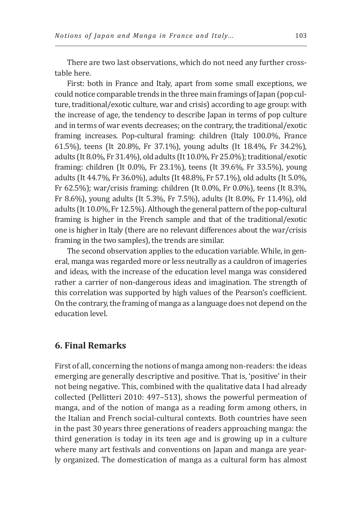There are two last observations, which do not need any further crosstable here.

First: both in France and Italy, apart from some small exceptions, we could notice comparable trends in the three main framings of Japan (pop culture, traditional/exotic culture, war and crisis) according to age group: with the increase of age, the tendency to describe Japan in terms of pop culture and in terms of war events decreases; on the contrary, the traditional/exotic framing increases. Pop-cultural framing: children (Italy 100.0%, France 61.5%), teens (It 20.8%, Fr 37.1%), young adults (It 18.4%, Fr 34.2%), adults (It 8.0%, Fr 31.4%), old adults (It 10.0%, Fr 25.0%); traditional/exotic framing: children (It 0.0%, Fr 23.1%), teens (It 39.6%, Fr 33.5%), young adults (It 44.7%, Fr 36.0%), adults (It 48.8%, Fr 57.1%), old adults (It 5.0%, Fr 62.5%); war/crisis framing: children (It 0.0%, Fr 0.0%), teens (It 8.3%, Fr 8.6%), young adults (It 5.3%, Fr 7.5%), adults (It 8.0%, Fr 11.4%), old adults (It 10.0%, Fr 12.5%). Although the general pattern of the pop-cultural framing is higher in the French sample and that of the traditional/exotic one is higher in Italy (there are no relevant differences about the war/crisis framing in the two samples), the trends are similar.

The second observation applies to the education variable. While, in general, manga was regarded more or less neutrally as a cauldron of imageries and ideas, with the increase of the education level manga was considered rather a carrier of non-dangerous ideas and imagination. The strength of this correlation was supported by high values of the Pearson's coefficient. On the contrary, the framing of manga as a language does not depend on the education level.

# **6. Final Remarks**

First of all, concerning the notions of manga among non-readers: the ideas emerging are generally descriptive and positive. That is, 'positive' in their not being negative. This, combined with the qualitative data I had already collected (Pellitteri 2010: 497–513), shows the powerful permeation of manga, and of the notion of manga as a reading form among others, in the Italian and French social-cultural contexts. Both countries have seen in the past 30 years three generations of readers approaching manga: the third generation is today in its teen age and is growing up in a culture where many art festivals and conventions on Japan and manga are yearly organized. The domestication of manga as a cultural form has almost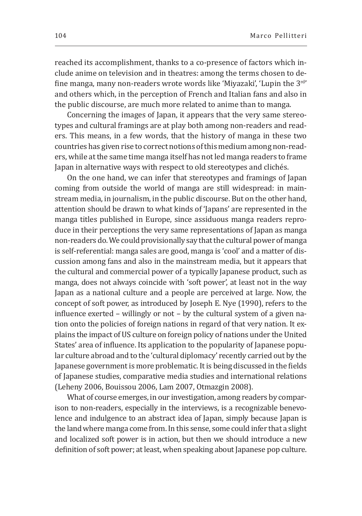reached its accomplishment, thanks to a co-presence of factors which include anime on television and in theatres: among the terms chosen to define manga, many non-readers wrote words like 'Miyazaki', 'Lupin the 3rd' and others which, in the perception of French and Italian fans and also in the public discourse, are much more related to anime than to manga.

Concerning the images of Japan, it appears that the very same stereotypes and cultural framings are at play both among non-readers and readers. This means, in a few words, that the history of manga in these two countries has given rise to correct notions of this medium among non-readers, while at the same time manga itself has not led manga readers to frame Japan in alternative ways with respect to old stereotypes and clichés.

On the one hand, we can infer that stereotypes and framings of Japan coming from outside the world of manga are still widespread: in mainstream media, in journalism, in the public discourse. But on the other hand, attention should be drawn to what kinds of 'Japans' are represented in the manga titles published in Europe, since assiduous manga readers reproduce in their perceptions the very same representations of Japan as manga non-readers do. We could provisionally say that the cultural power of manga is self-referential: manga sales are good, manga is 'cool' and a matter of discussion among fans and also in the mainstream media, but it appears that the cultural and commercial power of a typically Japanese product, such as manga, does not always coincide with 'soft power', at least not in the way Japan as a national culture and a people are perceived at large. Now, the concept of soft power, as introduced by Joseph E. Nye (1990), refers to the influence exerted – willingly or not – by the cultural system of a given nation onto the policies of foreign nations in regard of that very nation. It explains the impact of US culture on foreign policy of nations under the United States' area of influence. Its application to the popularity of Japanese popular culture abroad and to the 'cultural diplomacy' recently carried out by the Japanese government is more problematic. It is being discussed in the fields of Japanese studies, comparative media studies and international relations (Leheny 2006, Bouissou 2006, Lam 2007, Otmazgin 2008).

What of course emerges, in our investigation, among readers by comparison to non-readers, especially in the interviews, is a recognizable benevolence and indulgence to an abstract idea of Japan, simply because Japan is the land where manga come from. In this sense, some could infer that a slight and localized soft power is in action, but then we should introduce a new definition of soft power; at least, when speaking about Japanese pop culture.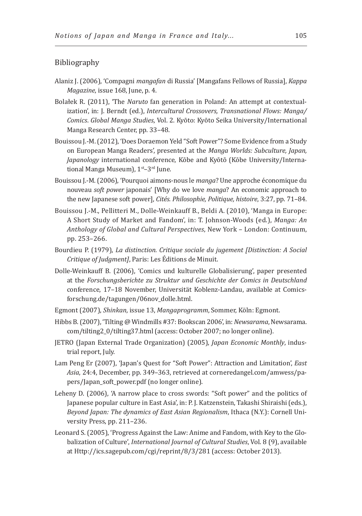## Bibliography

- Alaniz J. (2006), 'Compagni *mangafan* di Russia' [Mangafans Fellows of Russia], *Kappa Magazine*, issue 168, June, p. 4.
- Bolałek R. (2011), 'The *Naruto* fan generation in Poland: An attempt at contextualization', in: J. Berndt (ed.), *Intercultural Crossovers, Transnational Flows: Manga/ Comics*. *Global Manga Studies*, Vol. 2. Kyōto: Kyōto Seika University/International Manga Research Center, pp. 33–48.
- Bouissou J.-M. (2012), 'Does Doraemon Yeld "Soft Power"? Some Evidence from a Study on European Manga Readers', presented at the *Manga Worlds: Subculture, Japan, Japanology* international conference, Kōbe and Kyōtō (Kōbe University/International Manga Museum), 1<sup>st</sup>-3<sup>rd</sup> June.
- Bouissou J.-M. (2006), 'Pourquoi aimons-nous le *manga*? Une approche économique du nouveau *soft power* japonais' [Why do we love *manga*? An economic approach to the new Japanese soft power], *Cités. Philosophie, Politique, histoire*, 3:27, pp. 71–84.
- Bouissou J.-M., Pellitteri M., Dolle-Weinkauff B., Beldi A. (2010), 'Manga in Europe: A Short Study of Market and Fandom', in: T. Johnson-Woods (ed.), *Manga: An Anthology of Global and Cultural Perspectives*, New York – London: Continuum, pp. 253–266.
- Bourdieu P. (1979), *La distinction. Critique sociale du jugement [Distinction: A Social Critique of Judgment]*, Paris: Les Éditions de Minuit.
- Dolle-Weinkauff B. (2006), 'Comics und kulturelle Globalisierung', paper presented at the *Forschungsberichte zu Struktur und Geschichte der Comics in Deutschland* conference, 17–18 November, Universität Koblenz-Landau, available at Comicsforschung.de/tagungen/06nov\_dolle.html.
- Egmont (2007), *Shinkan*, issue 13, *Mangaprogramm*, Sommer, Köln: Egmont.
- Hibbs B. (2007), 'Tilting @ Windmills #37: Bookscan 2006', in: *Newsarama*, Newsarama. com/tilting2\_0/tilting37.html (access: October 2007; no longer online).
- JETRO (Japan External Trade Organization) (2005), *Japan Economic Monthly*, industrial report, July.
- Lam Peng Er (2007), 'Japan's Quest for "Soft Power": Attraction and Limitation', *East Asia*, 24:4, December, pp. 349–363, retrieved at corneredangel.com/amwess/papers/Japan\_soft\_power.pdf (no longer online).
- Leheny D. (2006), 'A narrow place to cross swords: "Soft power" and the politics of Japanese popular culture in East Asia', in: P. J. Katzenstein, Takashi Shiraishi (eds.), *Beyond Japan: The dynamics of East Asian Regionalism*, Ithaca (N.Y.): Cornell University Press, pp. 211–236.
- Leonard S. (2005), 'Progress Against the Law: Anime and Fandom, with Key to the Globalization of Culture', *International Journal of Cultural Studies*, Vol. 8 (9), available at Http://ics.sagepub.com/cgi/reprint/8/3/281 (access: October 2013).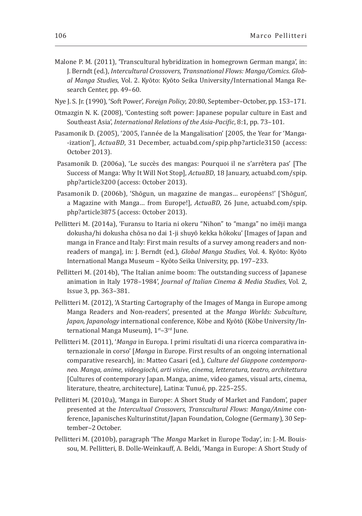- Malone P. M. (2011), 'Transcultural hybridization in homegrown German manga', in: J. Berndt (ed.), *Intercultural Crossovers, Transnational Flows: Manga/Comics*. *Global Manga Studies*, Vol. 2. Kyōto: Kyōto Seika University/International Manga Research Center, pp. 49–60.
- Nye J. S. Jr. (1990), 'Soft Power', *Foreign Policy*, 20:80, September–October, pp. 153–171.
- Otmazgin N. K. (2008), 'Contesting soft power: Japanese popular culture in East and Southeast Asia', *International Relations of the Asia-Pacific*, 8:1, pp. 73–101.
- Pasamonik D. (2005), '2005, l'année de la Mangalisation' [2005, the Year for 'Manga- -ization'], *ActuaBD*, 31 December, actuabd.com/spip.php?article3150 (access: October 2013).
- Pasamonik D. (2006a), 'Le succès des mangas: Pourquoi il ne s'arrêtera pas' [The Success of Manga: Why It Will Not Stop], *ActuaBD*, 18 January, actuabd.com/spip. php?article3200 (access: October 2013).
- Pasamonik D. (2006b), 'Shōgun, un magazine de mangas… européens!' ['Shōgun', a Magazine with Manga… from Europe!], *ActuaBD*, 26 June, actuabd.com/spip. php?article3875 (access: October 2013).
- Pellitteri M. (2014a), 'Furansu to Itaria ni okeru "Nihon" to "manga" no imēji manga dokusha/hi dokusha chōsa no dai 1-ji shuyō kekka hōkoku' [Images of Japan and manga in France and Italy: First main results of a survey among readers and nonreaders of manga], in: J. Berndt (ed.), *Global Manga Studies*, Vol. 4. Kyōto: Kyōto International Manga Museum – Kyōto Seika University, pp. 197–233.
- Pellitteri M. (2014b), 'The Italian anime boom: The outstanding success of Japanese animation in Italy 1978–1984', *Journal of Italian Cinema & Media Studies*, Vol. 2, Issue 3, pp. 363–381.
- Pellitteri M. (2012), 'A Starting Cartography of the Images of Manga in Europe among Manga Readers and Non-readers', presented at the *Manga Worlds: Subculture, Japan, Japanology* international conference, Kōbe and Kyōtō (Kōbe University/International Manga Museum),  $1<sup>st</sup>-3<sup>rd</sup>$  June.
- Pellitteri M. (2011), '*Manga* in Europa. I primi risultati di una ricerca comparativa internazionale in corso' [*Manga* in Europe. First results of an ongoing international comparative research], in: Matteo Casari (ed.), *Culture del Giappone contemporaneo. Manga, anime, videogiochi, arti visive, cinema, letteratura, teatro, architettura* [Cultures of contemporary Japan. Manga, anime, video games, visual arts, cinema, literature, theatre, architecture], Latina: Tunué, pp. 225–255.
- Pellitteri M. (2010a), 'Manga in Europe: A Short Study of Market and Fandom', paper presented at the *Intercultual Crossovers, Transcultural Flows: Manga/Anime* conference, Japanisches Kulturinstitut/Japan Foundation, Cologne (Germany), 30 September–2 October.
- Pellitteri M. (2010b), paragraph 'The *Manga* Market in Europe Today', in: J.-M. Bouissou, M. Pellitteri, B. Dolle-Weinkauff, A. Beldi, 'Manga in Europe: A Short Study of